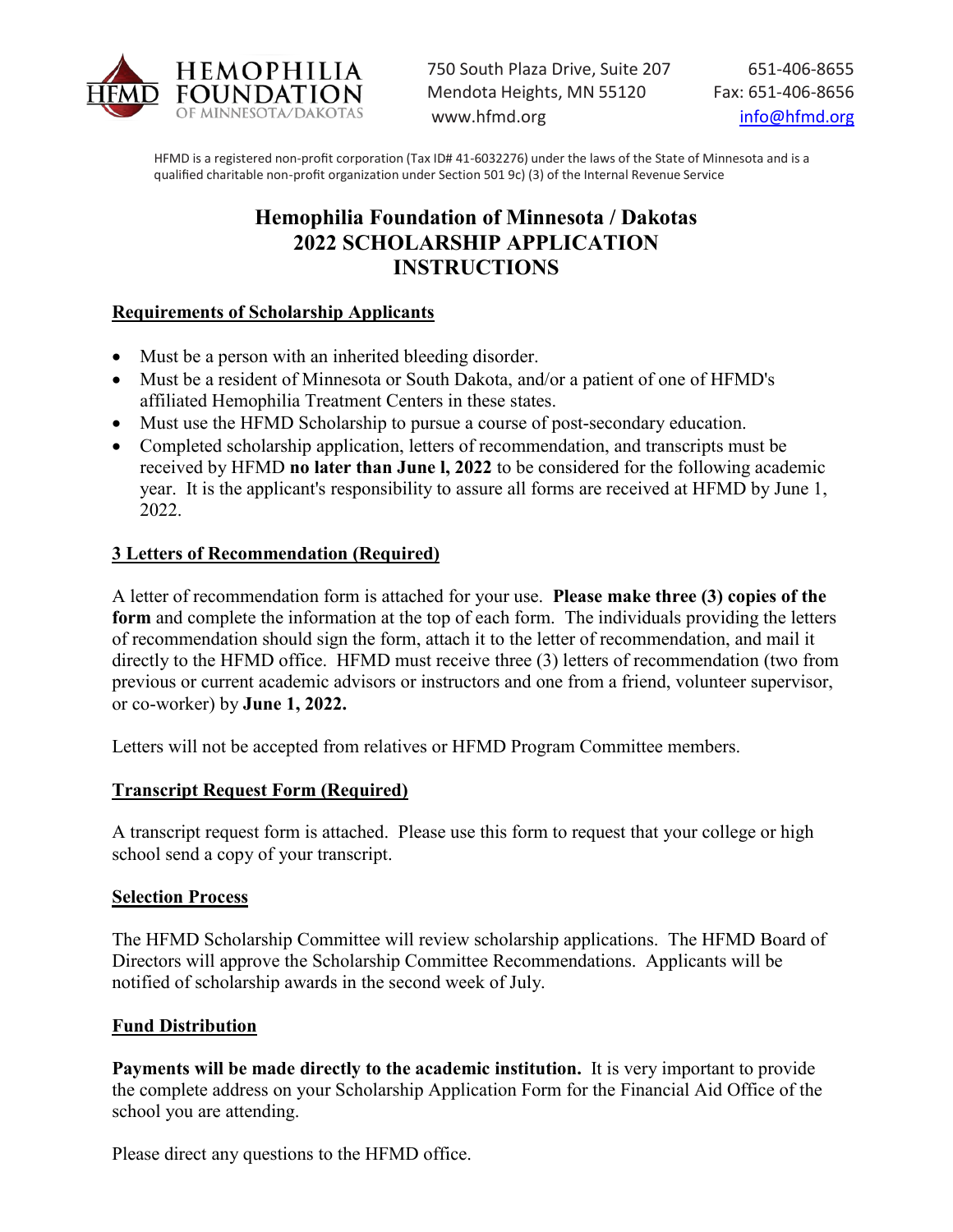

HFMD is a registered non-profit corporation (Tax ID# 41-6032276) under the laws of the State of Minnesota and is a qualified charitable non-profit organization under Section 501 9c) (3) of the Internal Revenue Service

## **Hemophilia Foundation of Minnesota / Dakotas 2022 SCHOLARSHIP APPLICATION INSTRUCTIONS**

### **Requirements of Scholarship Applicants**

- Must be a person with an inherited bleeding disorder.
- Must be a resident of Minnesota or South Dakota, and/or a patient of one of HFMD's affiliated Hemophilia Treatment Centers in these states.
- Must use the HFMD Scholarship to pursue a course of post-secondary education.
- Completed scholarship application, letters of recommendation, and transcripts must be received by HFMD **no later than June l, 2022** to be considered for the following academic year. It is the applicant's responsibility to assure all forms are received at HFMD by June 1, 2022.

### **3 Letters of Recommendation (Required)**

A letter of recommendation form is attached for your use. **Please make three (3) copies of the form** and complete the information at the top of each form. The individuals providing the letters of recommendation should sign the form, attach it to the letter of recommendation, and mail it directly to the HFMD office. HFMD must receive three (3) letters of recommendation (two from previous or current academic advisors or instructors and one from a friend, volunteer supervisor, or co-worker) by **June 1, 2022.** 

Letters will not be accepted from relatives or HFMD Program Committee members.

#### **Transcript Request Form (Required)**

A transcript request form is attached. Please use this form to request that your college or high school send a copy of your transcript.

#### **Selection Process**

The HFMD Scholarship Committee will review scholarship applications. The HFMD Board of Directors will approve the Scholarship Committee Recommendations. Applicants will be notified of scholarship awards in the second week of July.

#### **Fund Distribution**

**Payments will be made directly to the academic institution.** It is very important to provide the complete address on your Scholarship Application Form for the Financial Aid Office of the school you are attending.

Please direct any questions to the HFMD office.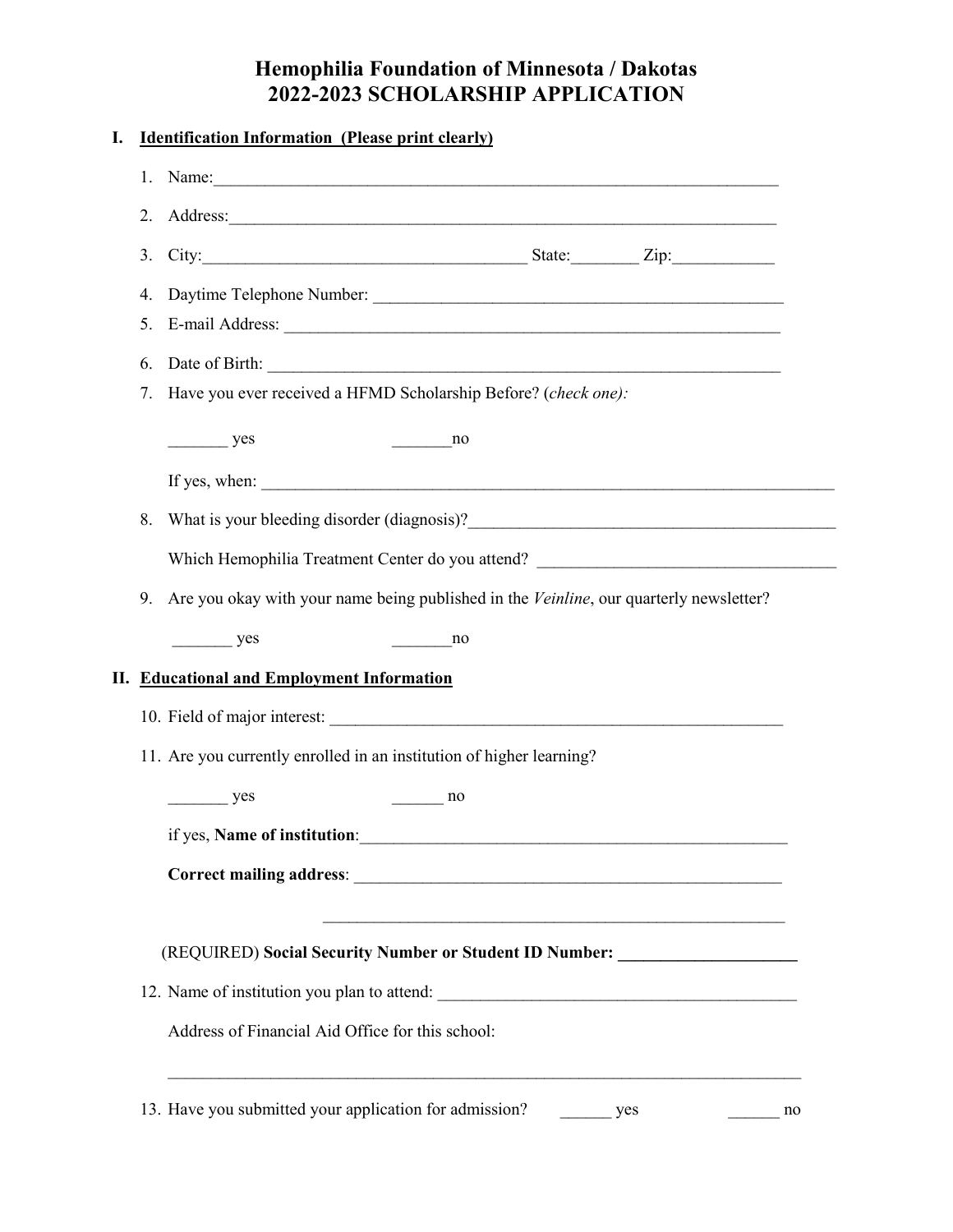# **Hemophilia Foundation of Minnesota / Dakotas 2022-2023 SCHOLARSHIP APPLICATION**

| I. |    | <b>Identification Information (Please print clearly)</b>                                                                                                                                                                                                                                                                                                                                                |
|----|----|---------------------------------------------------------------------------------------------------------------------------------------------------------------------------------------------------------------------------------------------------------------------------------------------------------------------------------------------------------------------------------------------------------|
|    |    | 1. Name: $\frac{1}{2}$ and $\frac{1}{2}$ and $\frac{1}{2}$ and $\frac{1}{2}$ and $\frac{1}{2}$ and $\frac{1}{2}$ and $\frac{1}{2}$ and $\frac{1}{2}$ and $\frac{1}{2}$ and $\frac{1}{2}$ and $\frac{1}{2}$ and $\frac{1}{2}$ and $\frac{1}{2}$ and $\frac{1}{2}$ and $\frac{1}{2}$ and $\$                                                                                                              |
|    | 2. |                                                                                                                                                                                                                                                                                                                                                                                                         |
|    | 3. |                                                                                                                                                                                                                                                                                                                                                                                                         |
|    | 4. |                                                                                                                                                                                                                                                                                                                                                                                                         |
|    | 5. |                                                                                                                                                                                                                                                                                                                                                                                                         |
|    | 6. |                                                                                                                                                                                                                                                                                                                                                                                                         |
|    | 7. | Have you ever received a HFMD Scholarship Before? (check one):                                                                                                                                                                                                                                                                                                                                          |
|    |    | $\frac{\ }{\ }$ yes<br>$\frac{1}{\sqrt{1-\frac{1}{2}}}\log \frac{1}{2}$                                                                                                                                                                                                                                                                                                                                 |
|    |    | If yes, when: $\frac{1}{\sqrt{1-\frac{1}{2}}\sqrt{1-\frac{1}{2}}\sqrt{1-\frac{1}{2}}\sqrt{1-\frac{1}{2}}\sqrt{1-\frac{1}{2}}\sqrt{1-\frac{1}{2}}\sqrt{1-\frac{1}{2}}\sqrt{1-\frac{1}{2}}\sqrt{1-\frac{1}{2}}\sqrt{1-\frac{1}{2}}\sqrt{1-\frac{1}{2}}\sqrt{1-\frac{1}{2}}\sqrt{1-\frac{1}{2}}\sqrt{1-\frac{1}{2}}\sqrt{1-\frac{1}{2}}\sqrt{1-\frac{1}{2}}\sqrt{1-\frac{1}{2}}\sqrt{1-\frac{1}{2}}\sqrt{$ |
|    | 8. |                                                                                                                                                                                                                                                                                                                                                                                                         |
|    |    | Which Hemophilia Treatment Center do you attend? ________________________________                                                                                                                                                                                                                                                                                                                       |
|    | 9. | Are you okay with your name being published in the Veinline, our quarterly newsletter?                                                                                                                                                                                                                                                                                                                  |
|    |    | $\frac{\ }{\ }$ yes<br>$\frac{1}{\sqrt{1-\frac{1}{2}}}\log \frac{1}{2}$                                                                                                                                                                                                                                                                                                                                 |
|    |    | II. Educational and Employment Information                                                                                                                                                                                                                                                                                                                                                              |
|    |    |                                                                                                                                                                                                                                                                                                                                                                                                         |
|    |    | 11. Are you currently enrolled in an institution of higher learning?                                                                                                                                                                                                                                                                                                                                    |
|    |    | yes<br>no                                                                                                                                                                                                                                                                                                                                                                                               |
|    |    | if yes, Name of institution:                                                                                                                                                                                                                                                                                                                                                                            |
|    |    |                                                                                                                                                                                                                                                                                                                                                                                                         |
|    |    |                                                                                                                                                                                                                                                                                                                                                                                                         |
|    |    | (REQUIRED) Social Security Number or Student ID Number: ________________________                                                                                                                                                                                                                                                                                                                        |
|    |    |                                                                                                                                                                                                                                                                                                                                                                                                         |
|    |    | 12. Name of institution you plan to attend:                                                                                                                                                                                                                                                                                                                                                             |
|    |    | Address of Financial Aid Office for this school:                                                                                                                                                                                                                                                                                                                                                        |
|    |    |                                                                                                                                                                                                                                                                                                                                                                                                         |
|    |    | 13. Have you submitted your application for admission?<br>yes<br>no                                                                                                                                                                                                                                                                                                                                     |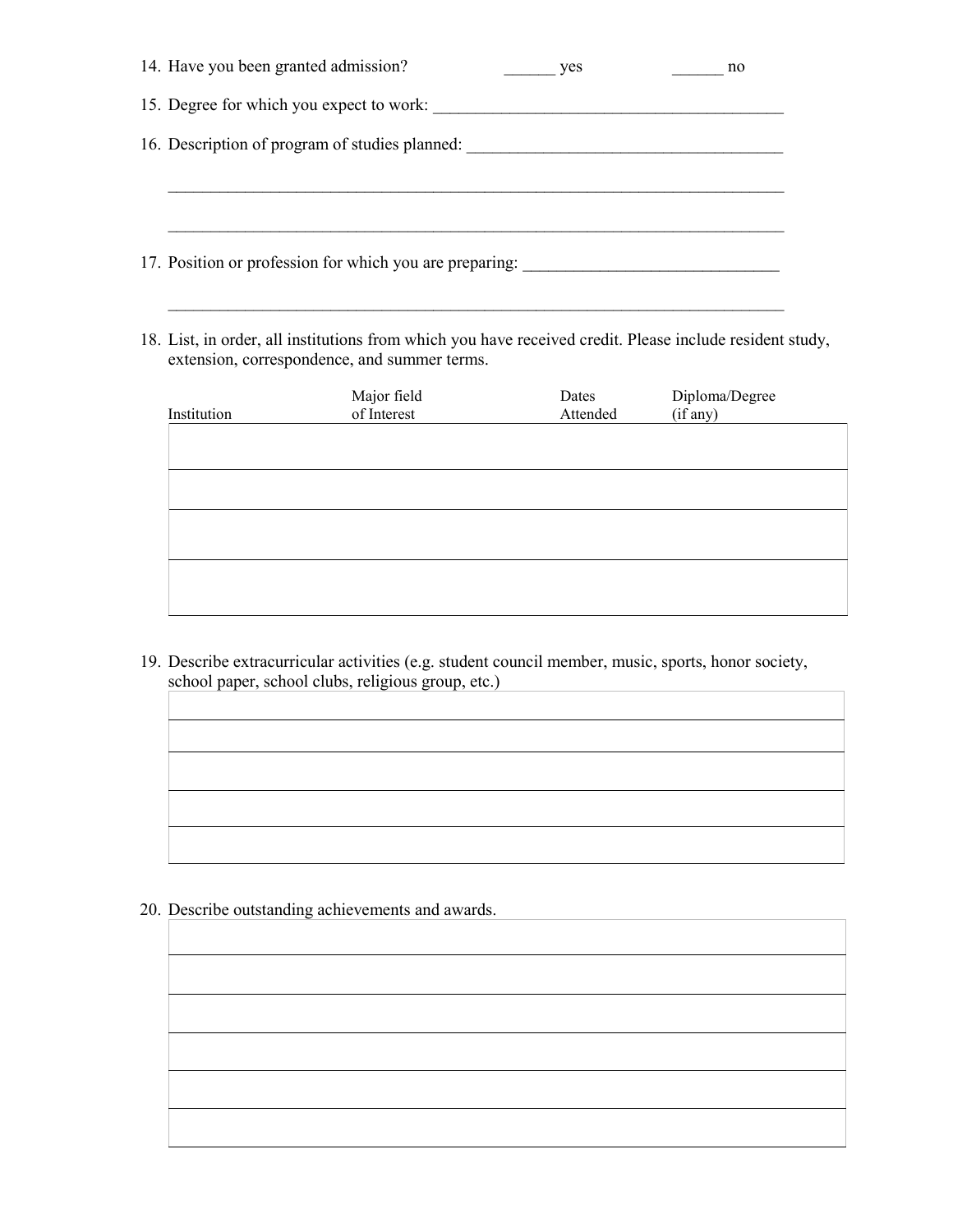| 14. Have you been granted admission?                    | yes | no |
|---------------------------------------------------------|-----|----|
| 15. Degree for which you expect to work:                |     |    |
| 16. Description of program of studies planned:          |     |    |
|                                                         |     |    |
|                                                         |     |    |
| 17. Position or profession for which you are preparing: |     |    |
|                                                         |     |    |

18. List, in order, all institutions from which you have received credit. Please include resident study, extension, correspondence, and summer terms.

| Institution | Major field<br>of Interest | Dates<br>Attended | Diploma/Degree<br>(if any) |
|-------------|----------------------------|-------------------|----------------------------|
|             |                            |                   |                            |
|             |                            |                   |                            |
|             |                            |                   |                            |
|             |                            |                   |                            |

19. Describe extracurricular activities (e.g. student council member, music, sports, honor society, school paper, school clubs, religious group, etc.)

20. Describe outstanding achievements and awards.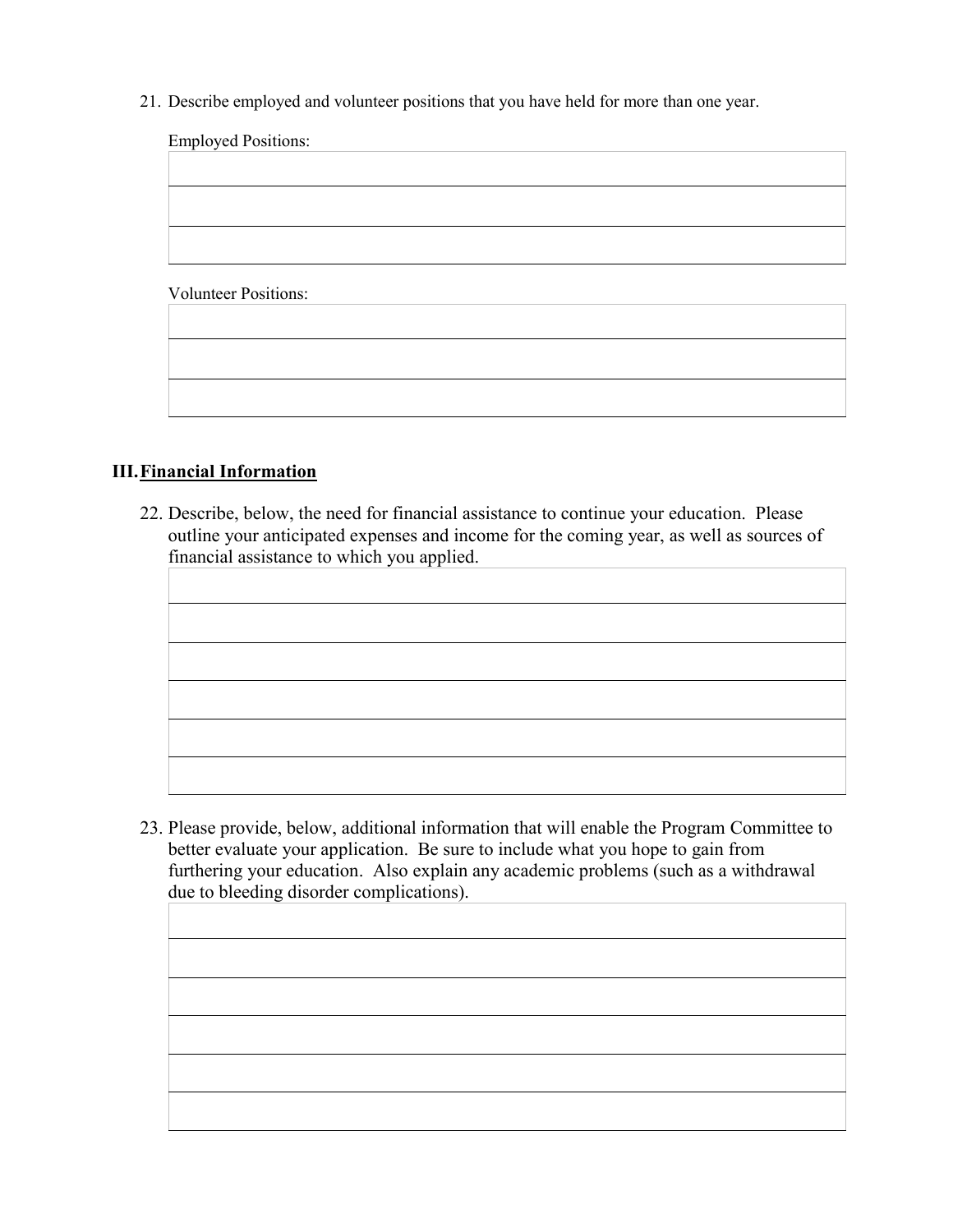21. Describe employed and volunteer positions that you have held for more than one year.

| <b>Employed Positions:</b>  |  |  |
|-----------------------------|--|--|
|                             |  |  |
|                             |  |  |
|                             |  |  |
|                             |  |  |
|                             |  |  |
| <b>Volunteer Positions:</b> |  |  |
|                             |  |  |
|                             |  |  |
|                             |  |  |
|                             |  |  |

### **III.Financial Information**

22. Describe, below, the need for financial assistance to continue your education. Please outline your anticipated expenses and income for the coming year, as well as sources of financial assistance to which you applied.

23. Please provide, below, additional information that will enable the Program Committee to better evaluate your application. Be sure to include what you hope to gain from furthering your education. Also explain any academic problems (such as a withdrawal due to bleeding disorder complications).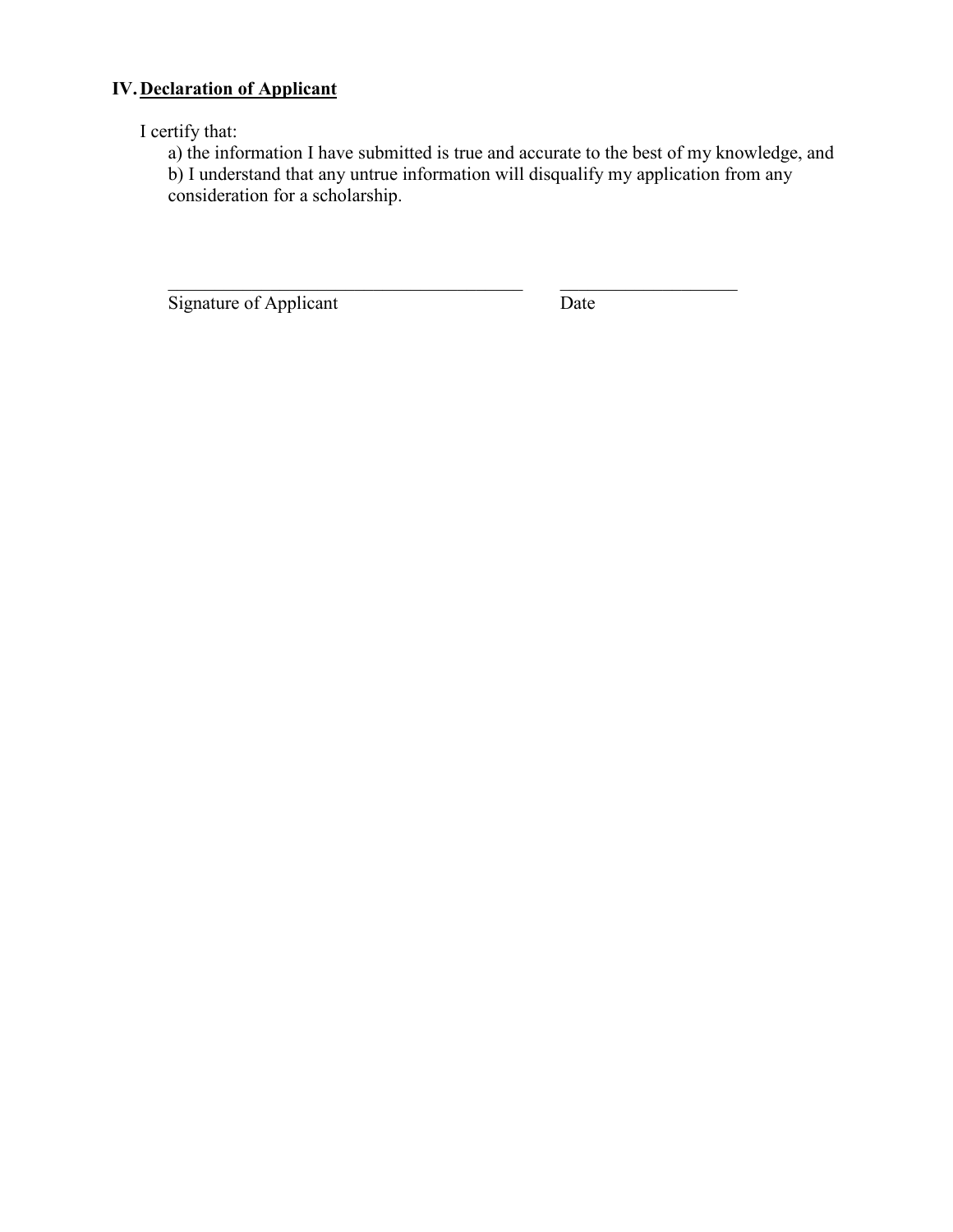### **IV.Declaration of Applicant**

I certify that:

a) the information I have submitted is true and accurate to the best of my knowledge, and b) I understand that any untrue information will disqualify my application from any consideration for a scholarship.

\_\_\_\_\_\_\_\_\_\_\_\_\_\_\_\_\_\_\_\_\_\_\_\_\_\_\_\_\_\_\_\_\_\_\_\_\_\_ \_\_\_\_\_\_\_\_\_\_\_\_\_\_\_\_\_\_\_

Signature of Applicant Date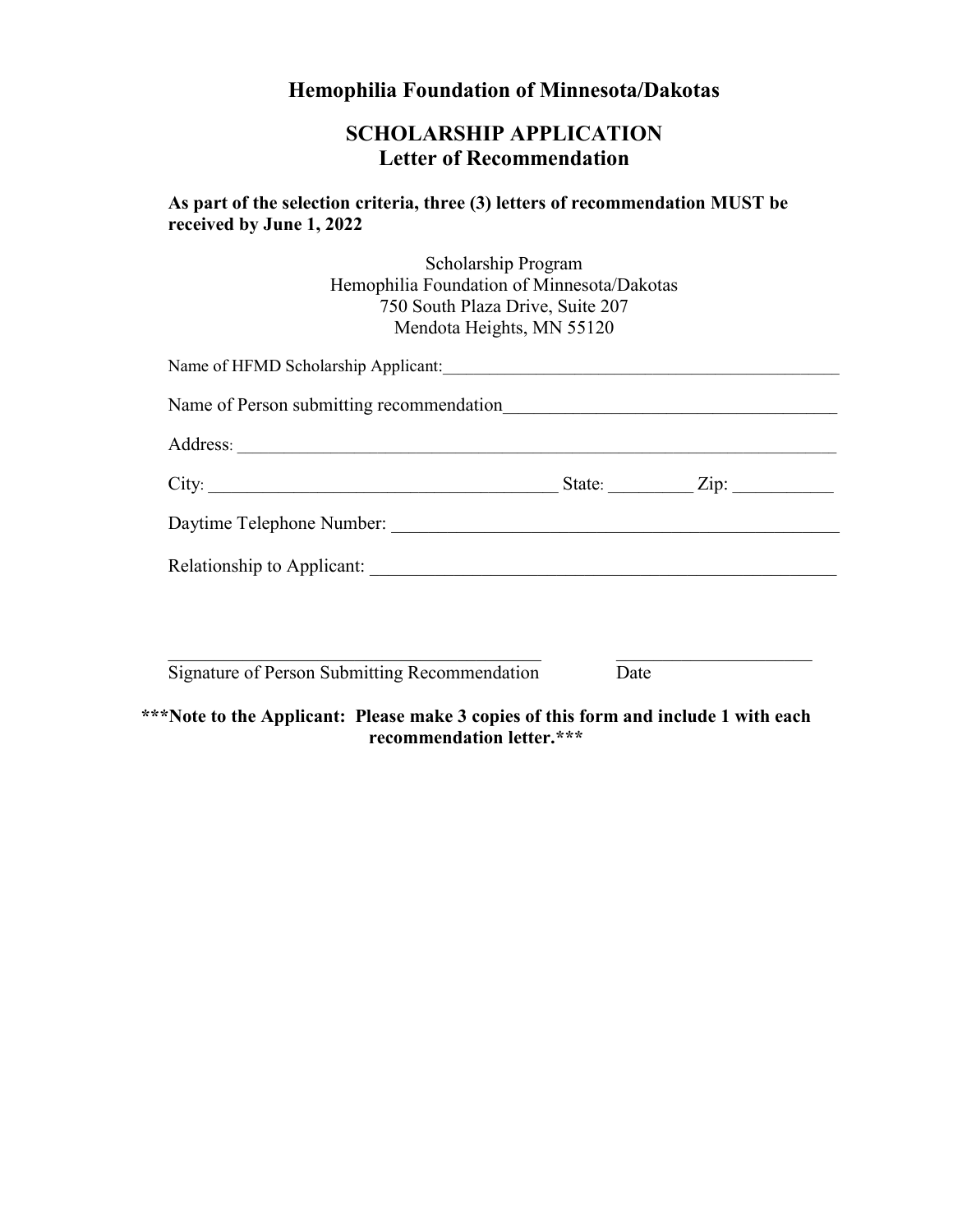# **Hemophilia Foundation of Minnesota/Dakotas**

# **SCHOLARSHIP APPLICATION Letter of Recommendation**

**As part of the selection criteria, three (3) letters of recommendation MUST be received by June 1, 2022** 

> Scholarship Program Hemophilia Foundation of Minnesota/Dakotas 750 South Plaza Drive, Suite 207 Mendota Heights, MN 55120

| Name of HFMD Scholarship Applicant: Manual Assembly Applicant Applicant Applicant Applicant Applicant Applicant Applicant Applicant Applicant Applicant Applicant Applicant Applicant Applicant Applicant Applicant Applicant |      |                    |
|-------------------------------------------------------------------------------------------------------------------------------------------------------------------------------------------------------------------------------|------|--------------------|
|                                                                                                                                                                                                                               |      |                    |
|                                                                                                                                                                                                                               |      |                    |
| City:                                                                                                                                                                                                                         |      | State: <u>Zip:</u> |
|                                                                                                                                                                                                                               |      |                    |
|                                                                                                                                                                                                                               |      |                    |
|                                                                                                                                                                                                                               |      |                    |
|                                                                                                                                                                                                                               |      |                    |
| Signature of Person Submitting Recommendation                                                                                                                                                                                 | Date |                    |

**\*\*\*Note to the Applicant: Please make 3 copies of this form and include 1 with each recommendation letter.\*\*\***